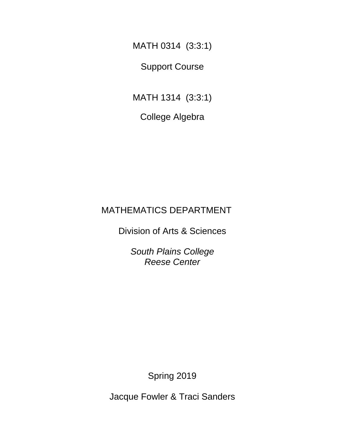MATH 0314 (3:3:1)

Support Course

MATH 1314 (3:3:1)

College Algebra

# MATHEMATICS DEPARTMENT

Division of Arts & Sciences

*South Plains College Reese Center*

Spring 2019

Jacque Fowler & Traci Sanders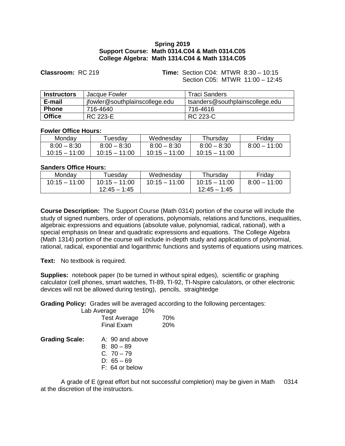#### **Spring 2019 Support Course: Math 0314.C04 & Math 0314.C05 College Algebra: Math 1314.C04 & Math 1314.C05**

**Classroom:** RC 219 **Time:** Section C04: MTWR 8:30 – 10:15 Section C05: MTWR 11:00 – 12:45

| <b>Instructors</b><br>Jacque Fowler |                                | <b>Traci Sanders</b>            |  |
|-------------------------------------|--------------------------------|---------------------------------|--|
| E-mail                              | jfowler@southplainscollege.edu | tsanders@southplainscollege.edu |  |
| <b>Phone</b>                        | 716-4640                       | 716-4616                        |  |
| <b>Office</b>                       | RC 223-E                       | RC 223-C                        |  |

#### **Fowler Office Hours:**

| Mondav          | ⊤uesdav         | Wednesdav       | Thursdav        | Fridav         |
|-----------------|-----------------|-----------------|-----------------|----------------|
| $8:00 - 8:30$   | $8:00 - 8:30$   | $8:00 - 8:30$   | $8:00 - 8:30$   | $8:00 - 11:00$ |
| $10:15 - 11:00$ | $10:15 - 11:00$ | $10:15 - 11:00$ | $10:15 - 11:00$ |                |

#### **Sanders Office Hours:**

| Mondav          | Tuesday         | Wednesday       | Thursdav        | Friday         |
|-----------------|-----------------|-----------------|-----------------|----------------|
| $10:15 - 11:00$ | $10:15 - 11:00$ | $10:15 - 11:00$ | $10:15 - 11:00$ | $8:00 - 11:00$ |
|                 | $12:45 - 1:45$  |                 | $12:45 - 1:45$  |                |

**Course Description:** The Support Course (Math 0314) portion of the course will include the study of signed numbers, order of operations, polynomials, relations and functions, inequalities, algebraic expressions and equations (absolute value, polynomial, radical, rational), with a special emphasis on linear and quadratic expressions and equations. The College Algebra (Math 1314) portion of the course will include in-depth study and applications of polynomial, rational, radical, exponential and logarithmic functions and systems of equations using matrices.

**Text:** No textbook is required.

**Supplies:** notebook paper (to be turned in without spiral edges), scientific or graphing calculator (cell phones, smart watches, TI-89, TI-92, TI-Nspire calculators, or other electronic devices will not be allowed during testing), pencils, straightedge

**Grading Policy:** Grades will be averaged according to the following percentages:

|                       | 10%<br>Lab Average  |     |
|-----------------------|---------------------|-----|
|                       | <b>Test Average</b> | 70% |
|                       | <b>Final Exam</b>   | 20% |
| <b>Grading Scale:</b> | A: 90 and above     |     |
|                       | $B: 80 - 89$        |     |
|                       | $C. 70 - 79$        |     |
|                       | $D: 65 - 69$        |     |
|                       | F: 64 or below      |     |

A grade of E (great effort but not successful completion) may be given in Math 0314 at the discretion of the instructors.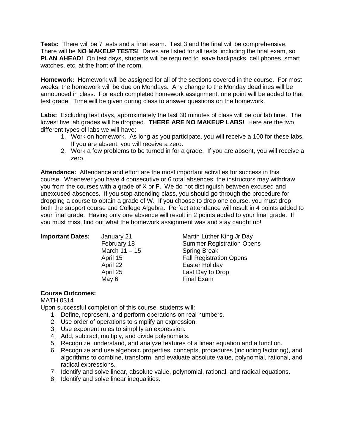**Tests:** There will be 7 tests and a final exam. Test 3 and the final will be comprehensive. There will be **NO MAKEUP TESTS!** Dates are listed for all tests, including the final exam, so **PLAN AHEAD!** On test days, students will be required to leave backpacks, cell phones, smart watches, etc. at the front of the room.

**Homework:** Homework will be assigned for all of the sections covered in the course. For most weeks, the homework will be due on Mondays. Any change to the Monday deadlines will be announced in class. For each completed homework assignment, one point will be added to that test grade. Time will be given during class to answer questions on the homework.

**Labs:** Excluding test days, approximately the last 30 minutes of class will be our lab time. The lowest five lab grades will be dropped. **THERE ARE NO MAKEUP LABS!** Here are the two different types of labs we will have:

- 1. Work on homework. As long as you participate, you will receive a 100 for these labs. If you are absent, you will receive a zero.
- 2. Work a few problems to be turned in for a grade. If you are absent, you will receive a zero.

**Attendance:** Attendance and effort are the most important activities for success in this course. Whenever you have 4 consecutive or 6 total absences, the instructors may withdraw you from the courses with a grade of X or F. We do not distinguish between excused and unexcused absences. If you stop attending class, you should go through the procedure for dropping a course to obtain a grade of W. If you choose to drop one course, you must drop both the support course and College Algebra. Perfect attendance will result in 4 points added to your final grade. Having only one absence will result in 2 points added to your final grade. If you must miss, find out what the homework assignment was and stay caught up!

| <b>Important Dates:</b> | January 21    | Martin Luther King Jr Day        |
|-------------------------|---------------|----------------------------------|
|                         | February 18   | <b>Summer Registration Opens</b> |
|                         | March 11 - 15 | <b>Spring Break</b>              |
|                         | April 15      | <b>Fall Registration Opens</b>   |
|                         | April 22      | Easter Holiday                   |
|                         | April 25      | Last Day to Drop                 |
|                         | May 6         | <b>Final Exam</b>                |

## **Course Outcomes:**

MATH 0314

Upon successful completion of this course, students will:

- 1. Define, represent, and perform operations on real numbers.
- 2. Use order of operations to simplify an expression.
- 3. Use exponent rules to simplify an expression.
- 4. Add, subtract, multiply, and divide polynomials.
- 5. Recognize, understand, and analyze features of a linear equation and a function.
- 6. Recognize and use algebraic properties, concepts, procedures (including factoring), and algorithms to combine, transform, and evaluate absolute value, polynomial, rational, and radical expressions.
- 7. Identify and solve linear, absolute value, polynomial, rational, and radical equations.
- 8. Identify and solve linear inequalities.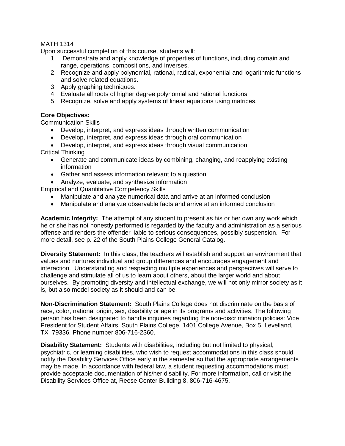#### MATH 1314

Upon successful completion of this course, students will:

- 1. Demonstrate and apply knowledge of properties of functions, including domain and range, operations, compositions, and inverses.
- 2. Recognize and apply polynomial, rational, radical, exponential and logarithmic functions and solve related equations.
- 3. Apply graphing techniques.
- 4. Evaluate all roots of higher degree polynomial and rational functions.
- 5. Recognize, solve and apply systems of linear equations using matrices.

## **Core Objectives:**

Communication Skills

- Develop, interpret, and express ideas through written communication
- Develop, interpret, and express ideas through oral communication
- Develop, interpret, and express ideas through visual communication

Critical Thinking

- Generate and communicate ideas by combining, changing, and reapplying existing information
- Gather and assess information relevant to a question
- Analyze, evaluate, and synthesize information

Empirical and Quantitative Competency Skills

- Manipulate and analyze numerical data and arrive at an informed conclusion
- Manipulate and analyze observable facts and arrive at an informed conclusion

**Academic Integrity:** The attempt of any student to present as his or her own any work which he or she has not honestly performed is regarded by the faculty and administration as a serious offense and renders the offender liable to serious consequences, possibly suspension. For more detail, see p. 22 of the South Plains College General Catalog.

**Diversity Statement:** In this class, the teachers will establish and support an environment that values and nurtures individual and group differences and encourages engagement and interaction. Understanding and respecting multiple experiences and perspectives will serve to challenge and stimulate all of us to learn about others, about the larger world and about ourselves. By promoting diversity and intellectual exchange, we will not only mirror society as it is, but also model society as it should and can be.

**Non-Discrimination Statement:** South Plains College does not discriminate on the basis of race, color, national origin, sex, disability or age in its programs and activities. The following person has been designated to handle inquiries regarding the non-discrimination policies: Vice President for Student Affairs, South Plains College, 1401 College Avenue, Box 5, Levelland, TX 79336. Phone number 806-716-2360.

**Disability Statement:** Students with disabilities, including but not limited to physical, psychiatric, or learning disabilities, who wish to request accommodations in this class should notify the Disability Services Office early in the semester so that the appropriate arrangements may be made. In accordance with federal law, a student requesting accommodations must provide acceptable documentation of his/her disability. For more information, call or visit the Disability Services Office at, Reese Center Building 8, 806-716-4675.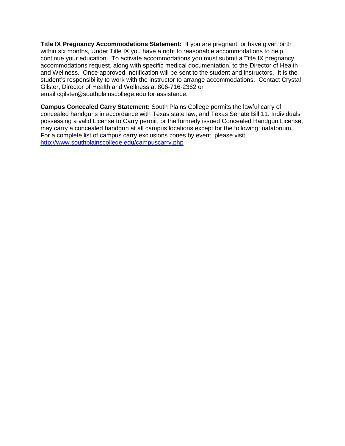**Title IX Pregnancy Accommodations Statement:** If you are pregnant, or have given birth within six months, Under Title IX you have a right to reasonable accommodations to help continue your education. To activate accommodations you must submit a Title IX pregnancy accommodations request, along with specific medical documentation, to the Director of Health and Wellness. Once approved, notification will be sent to the student and instructors. It is the student's responsibility to work with the instructor to arrange accommodations. Contact Crystal Gilster, Director of Health and Wellness at 806-716-2362 or email [cgilster@southplainscollege.edu](mailto:cgilster@southplainscollege.edu?subject=Title%20IX%20Pregnancy%20Accomodation) for assistance.

**Campus Concealed Carry Statement:** South Plains College permits the lawful carry of concealed handguns in accordance with Texas state law, and Texas Senate Bill 11. Individuals possessing a valid License to Carry permit, or the formerly issued Concealed Handgun License, may carry a concealed handgun at all campus locations except for the following: natatorium. For a complete list of campus carry exclusions zones by event, please visit <http://www.southplainscollege.edu/campuscarry.php>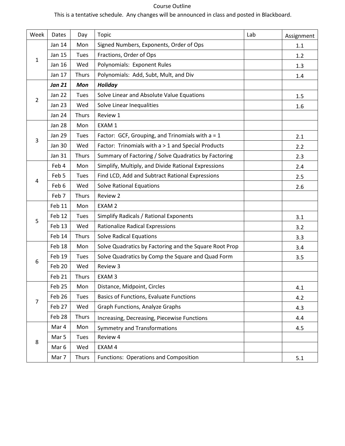## Course Outline

This is a tentative schedule. Any changes will be announced in class and posted in Blackboard.

| Week           | Dates            | Day          | <b>Topic</b>                                           | Lab | Assignment |
|----------------|------------------|--------------|--------------------------------------------------------|-----|------------|
|                | Jan 14           | Mon          | Signed Numbers, Exponents, Order of Ops                |     | 1.1        |
|                | Jan 15           | Tues         | Fractions, Order of Ops                                |     | 1.2        |
| 1              | Jan 16           | Wed          | Polynomials: Exponent Rules                            |     | 1.3        |
|                | Jan 17           | <b>Thurs</b> | Polynomials: Add, Subt, Mult, and Div                  |     | 1.4        |
|                | <b>Jan 21</b>    | <b>Mon</b>   | <b>Holiday</b>                                         |     |            |
|                | <b>Jan 22</b>    | Tues         | Solve Linear and Absolute Value Equations              |     | 1.5        |
| 2              | <b>Jan 23</b>    | Wed          | Solve Linear Inequalities                              |     | 1.6        |
|                | <b>Jan 24</b>    | Thurs        | Review 1                                               |     |            |
|                | Jan 28           | Mon          | EXAM 1                                                 |     |            |
|                | <b>Jan 29</b>    | Tues         | Factor: GCF, Grouping, and Trinomials with a = 1       |     | 2.1        |
| 3              | <b>Jan 30</b>    | Wed          | Factor: Trinomials with a > 1 and Special Products     |     | 2.2        |
|                | Jan 31           | <b>Thurs</b> | Summary of Factoring / Solve Quadratics by Factoring   |     | 2.3        |
|                | Feb 4            | Mon          | Simplify, Multiply, and Divide Rational Expressions    |     | 2.4        |
|                | Feb 5            | Tues         | Find LCD, Add and Subtract Rational Expressions        |     | 2.5        |
| 4              | Feb 6            | Wed          | <b>Solve Rational Equations</b>                        |     | 2.6        |
|                | Feb 7            | <b>Thurs</b> | Review 2                                               |     |            |
|                | Feb 11           | Mon          | EXAM <sub>2</sub>                                      |     |            |
| 5              | Feb 12           | Tues         | Simplify Radicals / Rational Exponents                 |     | 3.1        |
|                | Feb 13           | Wed          | <b>Rationalize Radical Expressions</b>                 |     | 3.2        |
|                | Feb 14           | Thurs        | <b>Solve Radical Equations</b>                         |     | 3.3        |
|                | Feb 18           | Mon          | Solve Quadratics by Factoring and the Square Root Prop |     | 3.4        |
| 6              | Feb 19           | Tues         | Solve Quadratics by Comp the Square and Quad Form      |     | 3.5        |
|                | Feb 20           | Wed          | Review 3                                               |     |            |
|                | Feb 21           | <b>Thurs</b> | EXAM <sub>3</sub>                                      |     |            |
|                | Feb 25           | Mon          | Distance, Midpoint, Circles                            |     | 4.1        |
| $\overline{7}$ | Feb 26           | Tues         | <b>Basics of Functions, Evaluate Functions</b>         |     | 4.2        |
|                | Feb 27           | Wed          | <b>Graph Functions, Analyze Graphs</b>                 |     | 4.3        |
|                | Feb 28           | <b>Thurs</b> | Increasing, Decreasing, Piecewise Functions            |     | 4.4        |
|                | Mar 4            | Mon          | <b>Symmetry and Transformations</b>                    |     | 4.5        |
| 8              | Mar 5            | Tues         | Review 4                                               |     |            |
|                | Mar <sub>6</sub> | Wed          | EXAM 4                                                 |     |            |
|                | Mar 7            | Thurs        | Functions: Operations and Composition                  |     | 5.1        |